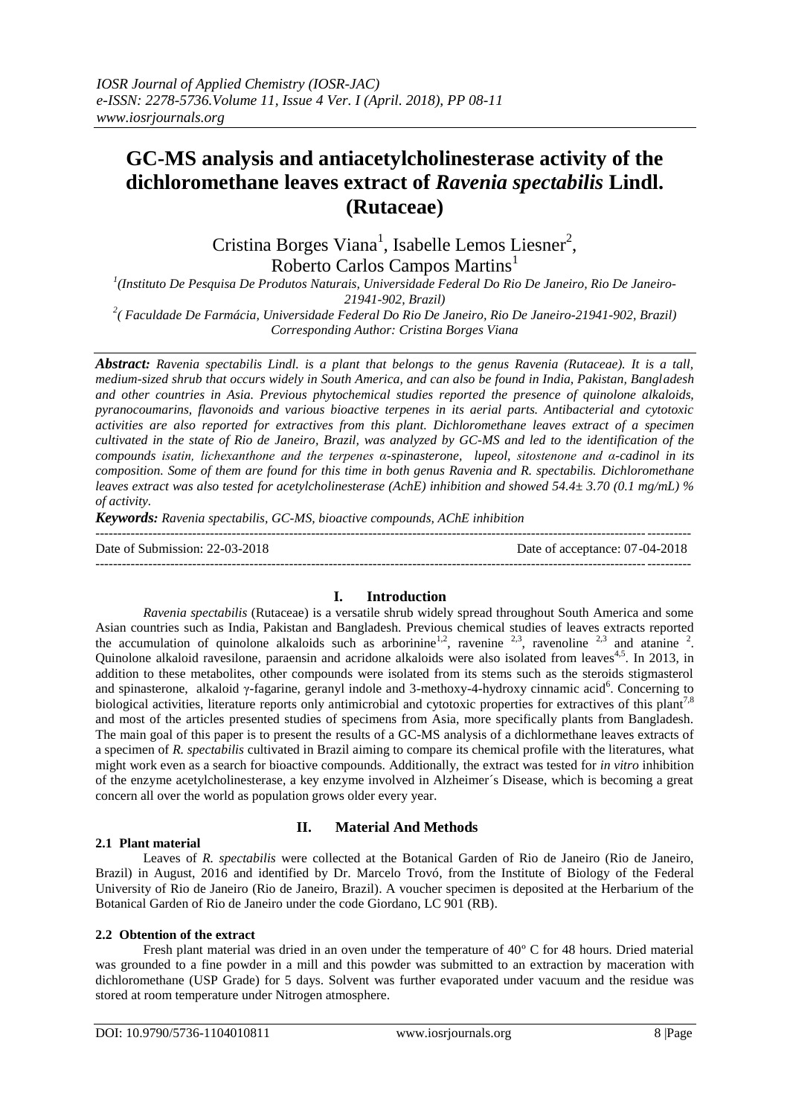# **GC-MS analysis and antiacetylcholinesterase activity of the dichloromethane leaves extract of** *Ravenia spectabilis* **Lindl. (Rutaceae)**

Cristina Borges Viana<sup>1</sup>, Isabelle Lemos Liesner<sup>2</sup>, Roberto Carlos Campos Martins<sup>1</sup>

*1 (Instituto De Pesquisa De Produtos Naturais, Universidade Federal Do Rio De Janeiro, Rio De Janeiro-21941-902, Brazil)*

*2 ( Faculdade De Farmácia, Universidade Federal Do Rio De Janeiro, Rio De Janeiro-21941-902, Brazil) Corresponding Author: Cristina Borges Viana*

*Abstract: Ravenia spectabilis Lindl. is a plant that belongs to the genus Ravenia (Rutaceae). It is a tall, medium-sized shrub that occurs widely in South America, and can also be found in India, Pakistan, Bangladesh and other countries in Asia. Previous phytochemical studies reported the presence of quinolone alkaloids, pyranocoumarins, flavonoids and various bioactive terpenes in its aerial parts. Antibacterial and cytotoxic activities are also reported for extractives from this plant. Dichloromethane leaves extract of a specimen cultivated in the state of Rio de Janeiro, Brazil, was analyzed by GC-MS and led to the identification of the compounds isatin, lichexanthone and the terpenes α-spinasterone, lupeol, sitostenone and α-cadinol in its composition. Some of them are found for this time in both genus Ravenia and R. spectabilis. Dichloromethane leaves extract was also tested for acetylcholinesterase (AchE) inhibition and showed 54.4± 3.70 (0.1 mg/mL) % of activity.* 

*Keywords: Ravenia spectabilis, GC-MS, bioactive compounds, AChE inhibition*

---------------------------------------------------------------------------------------------------------------------------------------

Date of Submission: 22-03-2018 Date of acceptance: 07-04-2018

---------------------------------------------------------------------------------------------------------------------------------------

## **I. Introduction**

*Ravenia spectabilis* (Rutaceae) is a versatile shrub widely spread throughout South America and some Asian countries such as India, Pakistan and Bangladesh. Previous chemical studies of leaves extracts reported the accumulation of quinolone alkaloids such as arborinine<sup>1,2</sup>, ravenine <sup>2,3</sup>, ravenoline <sup>2,3</sup> and atanine <sup>2</sup>. Quinolone alkaloid ravesilone, paraensin and acridone alkaloids were also isolated from leaves<sup>4,5</sup>. In 2013, in addition to these metabolites, other compounds were isolated from its stems such as the steroids stigmasterol and spinasterone, alkaloid γ-fagarine, geranyl indole and 3-methoxy-4-hydroxy cinnamic acid<sup>6</sup>. Concerning to biological activities, literature reports only antimicrobial and cytotoxic properties for extractives of this plant<sup>7,8</sup> and most of the articles presented studies of specimens from Asia, more specifically plants from Bangladesh. The main goal of this paper is to present the results of a GC-MS analysis of a dichlormethane leaves extracts of a specimen of *R. spectabilis* cultivated in Brazil aiming to compare its chemical profile with the literatures, what might work even as a search for bioactive compounds. Additionally, the extract was tested for *in vitro* inhibition of the enzyme acetylcholinesterase, a key enzyme involved in Alzheimer´s Disease, which is becoming a great concern all over the world as population grows older every year.

## **2.1 Plant material**

## **II. Material And Methods**

Leaves of *R. spectabilis* were collected at the Botanical Garden of Rio de Janeiro (Rio de Janeiro, Brazil) in August, 2016 and identified by Dr. Marcelo Trovó, from the Institute of Biology of the Federal University of Rio de Janeiro (Rio de Janeiro, Brazil). A voucher specimen is deposited at the Herbarium of the Botanical Garden of Rio de Janeiro under the code Giordano, LC 901 (RB).

#### **2.2 Obtention of the extract**

Fresh plant material was dried in an oven under the temperature of 40º C for 48 hours. Dried material was grounded to a fine powder in a mill and this powder was submitted to an extraction by maceration with dichloromethane (USP Grade) for 5 days. Solvent was further evaporated under vacuum and the residue was stored at room temperature under Nitrogen atmosphere.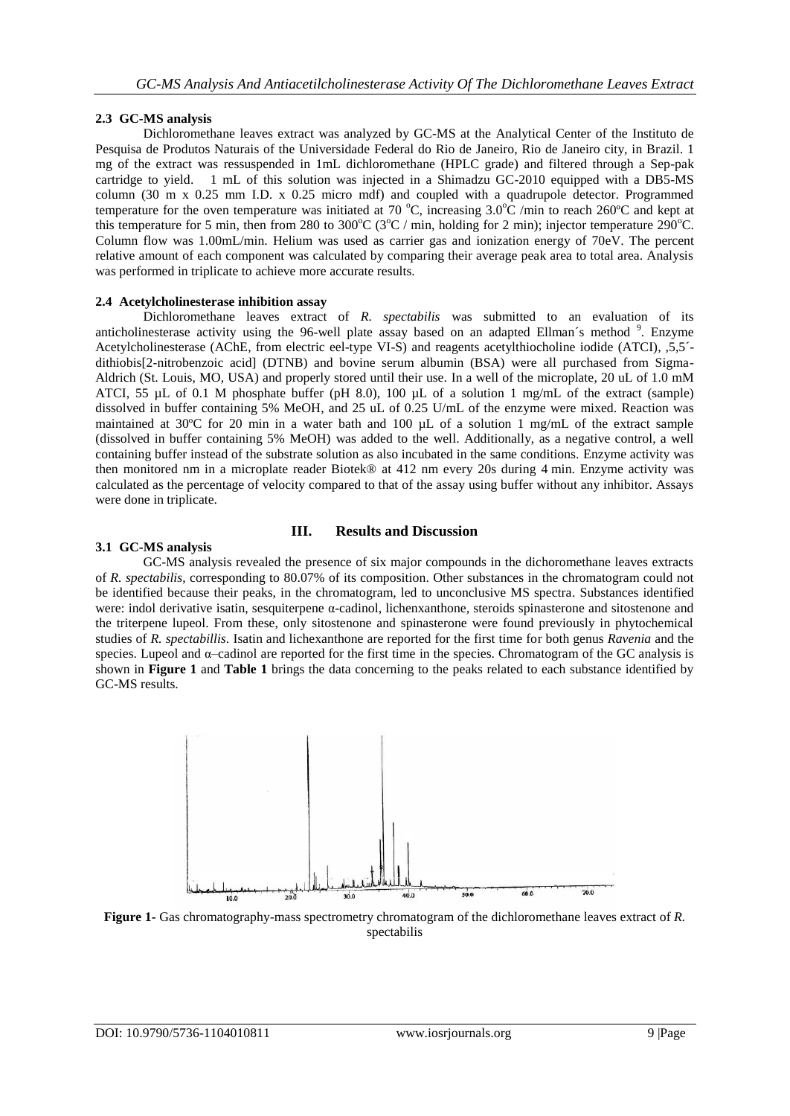# **2.3 GC-MS analysis**

Dichloromethane leaves extract was analyzed by GC-MS at the Analytical Center of the Instituto de Pesquisa de Produtos Naturais of the Universidade Federal do Rio de Janeiro, Rio de Janeiro city, in Brazil. 1 mg of the extract was ressuspended in 1mL dichloromethane (HPLC grade) and filtered through a Sep-pak cartridge to yield. 1 mL of this solution was injected in a Shimadzu GC-2010 equipped with a DB5-MS column (30 m x 0.25 mm I.D. x 0.25 micro mdf) and coupled with a quadrupole detector. Programmed temperature for the oven temperature was initiated at 70 °C, increasing  $3.0^{\circ}$ C /min to reach 260°C and kept at this temperature for 5 min, then from 280 to 300 $^{\circ}$ C (3 $^{\circ}$ C / min, holding for 2 min); injector temperature 290 $^{\circ}$ C. Column flow was 1.00mL/min. Helium was used as carrier gas and ionization energy of 70eV. The percent relative amount of each component was calculated by comparing their average peak area to total area. Analysis was performed in triplicate to achieve more accurate results.

# **2.4 Acetylcholinesterase inhibition assay**

Dichloromethane leaves extract of *R. spectabilis* was submitted to an evaluation of its anticholinesterase activity using the 96-well plate assay based on an adapted Ellman's method <sup>9</sup>. Enzyme Acetylcholinesterase (AChE, from electric eel-type VI-S) and reagents acetylthiocholine iodide (ATCI), ,5,5´ dithiobis[2-nitrobenzoic acid] (DTNB) and bovine serum albumin (BSA) were all purchased from Sigma-Aldrich (St. Louis, MO, USA) and properly stored until their use. In a well of the microplate, 20 uL of 1.0 mM ATCI, 55  $\mu$ L of 0.1 M phosphate buffer (pH 8.0), 100  $\mu$ L of a solution 1 mg/mL of the extract (sample) dissolved in buffer containing 5% MeOH, and 25 uL of 0.25 U/mL of the enzyme were mixed. Reaction was maintained at 30ºC for 20 min in a water bath and 100 µL of a solution 1 mg/mL of the extract sample (dissolved in buffer containing 5% MeOH) was added to the well. Additionally, as a negative control, a well containing buffer instead of the substrate solution as also incubated in the same conditions. Enzyme activity was then monitored nm in a microplate reader Biotek® at 412 nm every 20s during 4 min. Enzyme activity was calculated as the percentage of velocity compared to that of the assay using buffer without any inhibitor. Assays were done in triplicate.

# **III. Results and Discussion**

# **3.1 GC-MS analysis**

GC-MS analysis revealed the presence of six major compounds in the dichoromethane leaves extracts of *R. spectabilis*, corresponding to 80.07% of its composition. Other substances in the chromatogram could not be identified because their peaks, in the chromatogram, led to unconclusive MS spectra. Substances identified were: indol derivative isatin, sesquiterpene α-cadinol, lichenxanthone, steroids spinasterone and sitostenone and the triterpene lupeol. From these, only sitostenone and spinasterone were found previously in phytochemical studies of *R. spectabillis*. Isatin and lichexanthone are reported for the first time for both genus *Ravenia* and the species. Lupeol and α–cadinol are reported for the first time in the species. Chromatogram of the GC analysis is shown in **Figure 1** and **Table 1** brings the data concerning to the peaks related to each substance identified by GC-MS results.



**Figure 1-** Gas chromatography-mass spectrometry chromatogram of the dichloromethane leaves extract of *R.*  spectabilis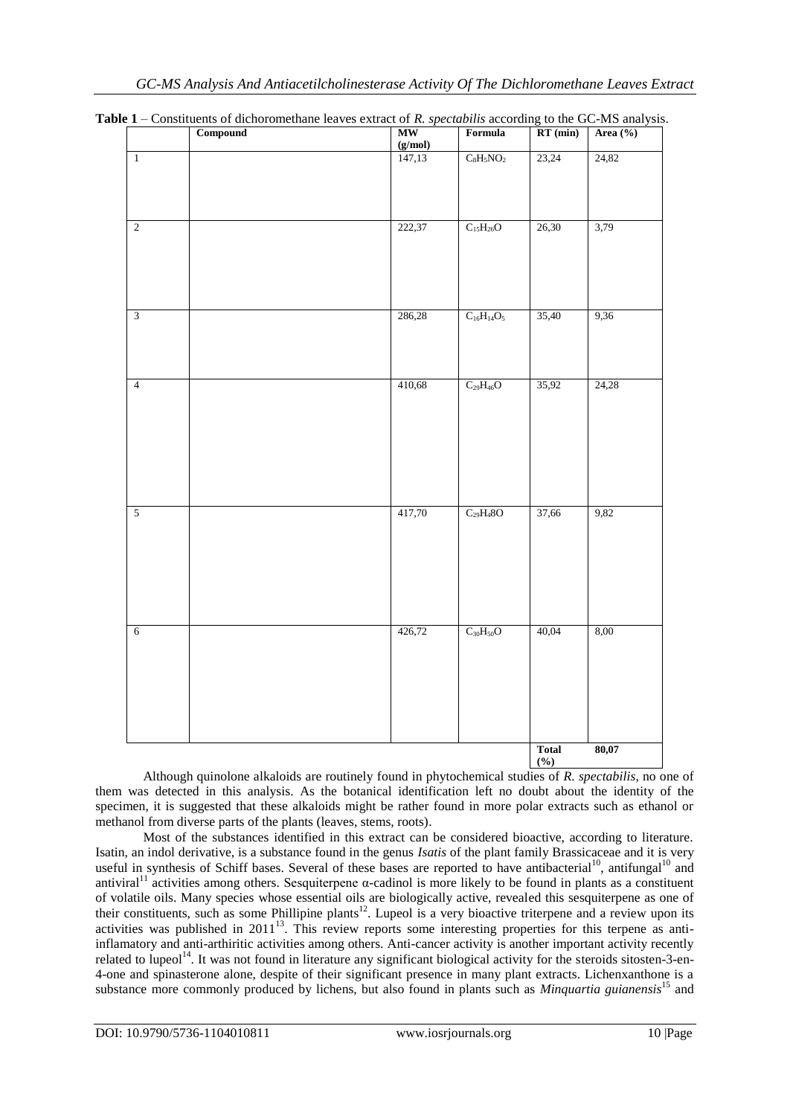|                | construction of dividendent reaves extract of his specifications according to the OC this unary sho<br>Compound | <b>MW</b>                | Formula                    | $RT$ (min)          | Area (%) |
|----------------|-----------------------------------------------------------------------------------------------------------------|--------------------------|----------------------------|---------------------|----------|
| $\overline{1}$ |                                                                                                                 | $\frac{(g/mol)}{147,13}$ | $\rm{C_8H_5NO_2}$          | 23,24               | 24,82    |
| $\overline{2}$ |                                                                                                                 | 222,37                   | $\rm C_{15}H_{26}O$        | 26,30               | 3,79     |
| $\overline{3}$ |                                                                                                                 | 286,28                   | $\mathrm{C_{16}H_{14}O_5}$ | 35,40               | 9,36     |
| $\overline{4}$ |                                                                                                                 | 410,68                   | $\overline{C_{29}H_{46}O}$ | 35,92               | 24,28    |
| 5              |                                                                                                                 | 417,70                   | $C_{29}H_48O$              | 37,66               | 9,82     |
| $\overline{6}$ |                                                                                                                 | 426,72                   | $\rm{C_{30}H_{50}O}$       | 40,04               | 8,00     |
|                |                                                                                                                 |                          |                            | <b>Total</b><br>(%) | 80,07    |

**Table 1** – Constituents of dichoromethane leaves extract of *R. spectabilis* according to the GC-MS analysis.

Although quinolone alkaloids are routinely found in phytochemical studies of *R. spectabilis*, no one of them was detected in this analysis. As the botanical identification left no doubt about the identity of the specimen, it is suggested that these alkaloids might be rather found in more polar extracts such as ethanol or methanol from diverse parts of the plants (leaves, stems, roots).

Most of the substances identified in this extract can be considered bioactive, according to literature. Isatin, an indol derivative, is a substance found in the genus *Isatis* of the plant family Brassicaceae and it is very useful in synthesis of Schiff bases. Several of these bases are reported to have antibacterial<sup>10</sup>, antifungal<sup>10</sup> and antiviral<sup>11</sup> activities among others. Sesquiterpene  $\alpha$ -cadinol is more likely to be found in plants as a constituent of volatile oils. Many species whose essential oils are biologically active, revealed this sesquiterpene as one of their constituents, such as some Phillipine plants<sup>12</sup>. Lupeol is a very bioactive triterpene and a review upon its activities was published in 2011<sup>13</sup>. This review reports some interesting properties for this terpene as antiinflamatory and anti-arthiritic activities among others. Anti-cancer activity is another important activity recently related to lupeol<sup>14</sup>. It was not found in literature any significant biological activity for the steroids sitosten-3-en-4-one and spinasterone alone, despite of their significant presence in many plant extracts. Lichenxanthone is a substance more commonly produced by lichens, but also found in plants such as *Minquartia guianensis*<sup>15</sup> and